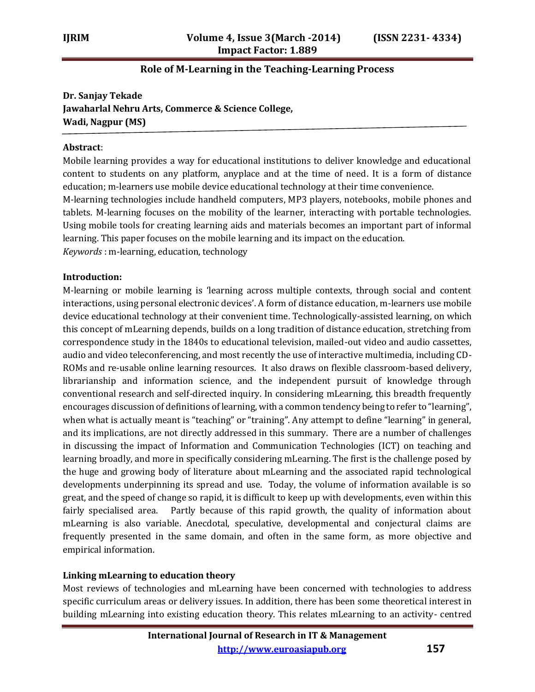# **Role of M-Learning in the Teaching-Learning Process**

**Dr. Sanjay Tekade Jawaharlal Nehru Arts, Commerce & Science College, Wadi, Nagpur (MS)**

#### **Abstract**:

Mobile learning provides a way for educational institutions to deliver knowledge and educational content to students on any platform, anyplace and at the time of need. It is a form of distance education; m-learners use mobile device educational technology at their time convenience. M-learning technologies include handheld computers, MP3 players, notebooks, mobile phones and tablets. M-learning focuses on the mobility of the learner, interacting with portable technologies. Using mobile tools for creating learning aids and materials becomes an important part of informal learning. This paper focuses on the mobile learning and its impact on the education. *Keywords* : m-learning, education, technology

#### **Introduction:**

M-learning or mobile learning is 'learning across multiple contexts, through social and content interactions, using personal electronic devices'. A form of distance education, m-learners use mobile device educational technology at their convenient time. Technologically-assisted learning, on which this concept of mLearning depends, builds on a long tradition of distance education, stretching from correspondence study in the 1840s to educational television, mailed-out video and audio cassettes, audio and video teleconferencing, and most recently the use of interactive multimedia, including CD-ROMs and re-usable online learning resources. It also draws on flexible classroom-based delivery, librarianship and information science, and the independent pursuit of knowledge through conventional research and self-directed inquiry. In considering mLearning, this breadth frequently encourages discussion of definitions of learning, with a common tendency being to refer to "learning", when what is actually meant is "teaching" or "training". Any attempt to define "learning" in general, and its implications, are not directly addressed in this summary. There are a number of challenges in discussing the impact of Information and Communication Technologies (ICT) on teaching and learning broadly, and more in specifically considering mLearning. The first is the challenge posed by the huge and growing body of literature about mLearning and the associated rapid technological developments underpinning its spread and use. Today, the volume of information available is so great, and the speed of change so rapid, it is difficult to keep up with developments, even within this fairly specialised area. Partly because of this rapid growth, the quality of information about mLearning is also variable. Anecdotal, speculative, developmental and conjectural claims are frequently presented in the same domain, and often in the same form, as more objective and empirical information.

## **Linking mLearning to education theory**

Most reviews of technologies and mLearning have been concerned with technologies to address specific curriculum areas or delivery issues. In addition, there has been some theoretical interest in building mLearning into existing education theory. This relates mLearning to an activity- centred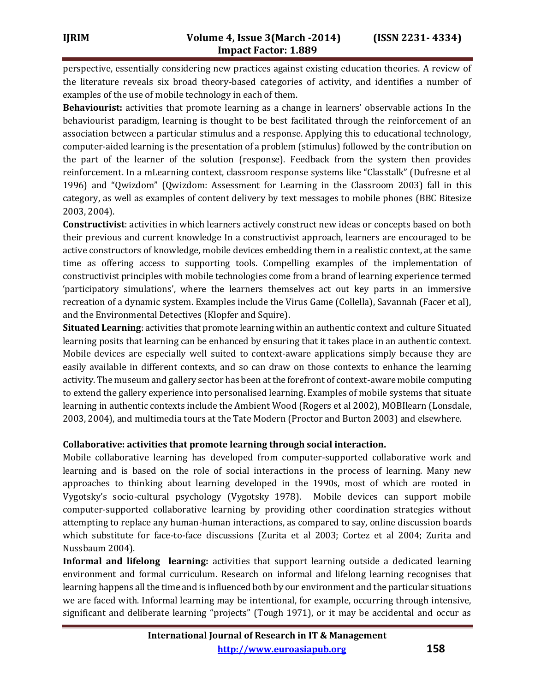perspective, essentially considering new practices against existing education theories. A review of the literature reveals six broad theory-based categories of activity, and identifies a number of examples of the use of mobile technology in each of them.

**Behaviourist:** activities that promote learning as a change in learners' observable actions In the behaviourist paradigm, learning is thought to be best facilitated through the reinforcement of an association between a particular stimulus and a response. Applying this to educational technology, computer-aided learning is the presentation of a problem (stimulus) followed by the contribution on the part of the learner of the solution (response). Feedback from the system then provides reinforcement. In a mLearning context, classroom response systems like "Classtalk" (Dufresne et al 1996) and "Qwizdom" (Qwizdom: Assessment for Learning in the Classroom 2003) fall in this category, as well as examples of content delivery by text messages to mobile phones (BBC Bitesize 2003, 2004).

**Constructivist**: activities in which learners actively construct new ideas or concepts based on both their previous and current knowledge In a constructivist approach, learners are encouraged to be active constructors of knowledge, mobile devices embedding them in a realistic context, at the same time as offering access to supporting tools. Compelling examples of the implementation of constructivist principles with mobile technologies come from a brand of learning experience termed 'participatory simulations', where the learners themselves act out key parts in an immersive recreation of a dynamic system. Examples include the Virus Game (Collella), Savannah (Facer et al), and the Environmental Detectives (Klopfer and Squire).

**Situated Learning**: activities that promote learning within an authentic context and culture Situated learning posits that learning can be enhanced by ensuring that it takes place in an authentic context. Mobile devices are especially well suited to context-aware applications simply because they are easily available in different contexts, and so can draw on those contexts to enhance the learning activity. The museum and gallery sector has been at the forefront of context-aware mobile computing to extend the gallery experience into personalised learning. Examples of mobile systems that situate learning in authentic contexts include the Ambient Wood (Rogers et al 2002), MOBIlearn (Lonsdale, 2003, 2004), and multimedia tours at the Tate Modern (Proctor and Burton 2003) and elsewhere.

#### **Collaborative: activities that promote learning through social interaction.**

Mobile collaborative learning has developed from computer-supported collaborative work and learning and is based on the role of social interactions in the process of learning. Many new approaches to thinking about learning developed in the 1990s, most of which are rooted in Vygotsky's socio-cultural psychology (Vygotsky 1978). Mobile devices can support mobile computer-supported collaborative learning by providing other coordination strategies without attempting to replace any human-human interactions, as compared to say, online discussion boards which substitute for face-to-face discussions (Zurita et al 2003; Cortez et al 2004; Zurita and Nussbaum 2004).

**Informal and lifelong learning:** activities that support learning outside a dedicated learning environment and formal curriculum. Research on informal and lifelong learning recognises that learning happens all the time and is influenced both by our environment and the particular situations we are faced with. Informal learning may be intentional, for example, occurring through intensive, significant and deliberate learning "projects" (Tough 1971), or it may be accidental and occur as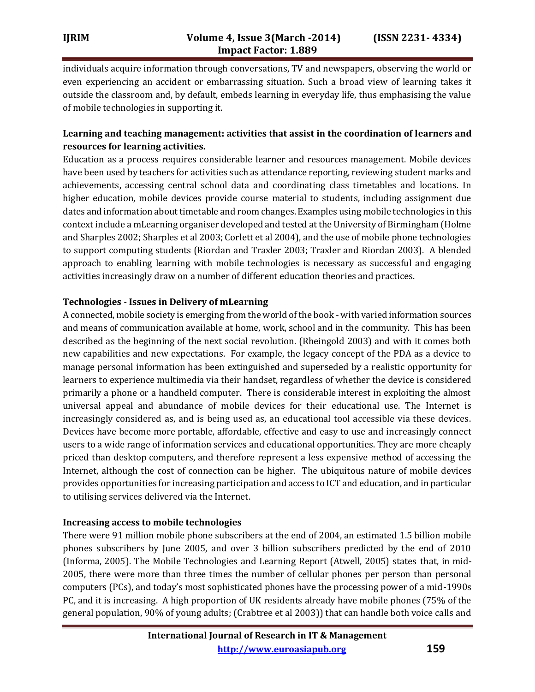individuals acquire information through conversations, TV and newspapers, observing the world or even experiencing an accident or embarrassing situation. Such a broad view of learning takes it outside the classroom and, by default, embeds learning in everyday life, thus emphasising the value of mobile technologies in supporting it.

# **Learning and teaching management: activities that assist in the coordination of learners and resources for learning activities.**

Education as a process requires considerable learner and resources management. Mobile devices have been used by teachers for activities such as attendance reporting, reviewing student marks and achievements, accessing central school data and coordinating class timetables and locations. In higher education, mobile devices provide course material to students, including assignment due dates and information about timetable and room changes. Examples using mobile technologies in this context include a mLearning organiser developed and tested at the University of Birmingham (Holme and Sharples 2002; Sharples et al 2003; Corlett et al 2004), and the use of mobile phone technologies to support computing students (Riordan and Traxler 2003; Traxler and Riordan 2003). A blended approach to enabling learning with mobile technologies is necessary as successful and engaging activities increasingly draw on a number of different education theories and practices.

## **Technologies - Issues in Delivery of mLearning**

A connected, mobile society is emerging from the world of the book - with varied information sources and means of communication available at home, work, school and in the community. This has been described as the beginning of the next social revolution. (Rheingold 2003) and with it comes both new capabilities and new expectations. For example, the legacy concept of the PDA as a device to manage personal information has been extinguished and superseded by a realistic opportunity for learners to experience multimedia via their handset, regardless of whether the device is considered primarily a phone or a handheld computer. There is considerable interest in exploiting the almost universal appeal and abundance of mobile devices for their educational use. The Internet is increasingly considered as, and is being used as, an educational tool accessible via these devices. Devices have become more portable, affordable, effective and easy to use and increasingly connect users to a wide range of information services and educational opportunities. They are more cheaply priced than desktop computers, and therefore represent a less expensive method of accessing the Internet, although the cost of connection can be higher. The ubiquitous nature of mobile devices provides opportunities for increasing participation and access to ICT and education, and in particular to utilising services delivered via the Internet.

## **Increasing access to mobile technologies**

There were 91 million mobile phone subscribers at the end of 2004, an estimated 1.5 billion mobile phones subscribers by June 2005, and over 3 billion subscribers predicted by the end of 2010 (Informa, 2005). The Mobile Technologies and Learning Report (Atwell, 2005) states that, in mid-2005, there were more than three times the number of cellular phones per person than personal computers (PCs), and today's most sophisticated phones have the processing power of a mid-1990s PC, and it is increasing. A high proportion of UK residents already have mobile phones (75% of the general population, 90% of young adults; (Crabtree et al 2003)) that can handle both voice calls and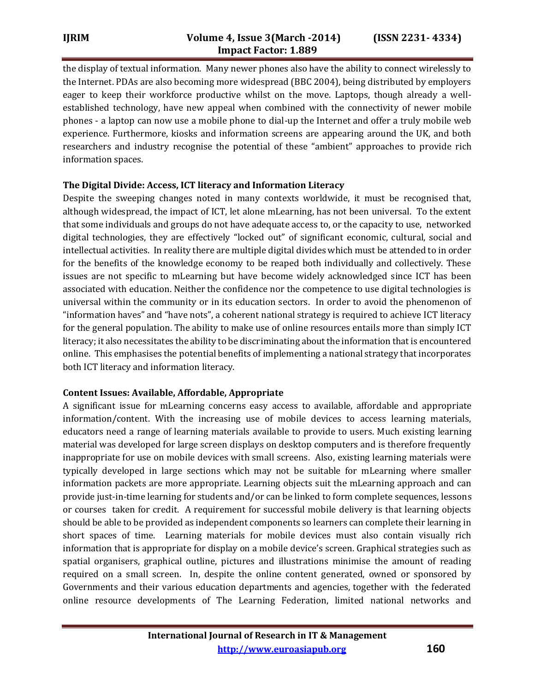the display of textual information. Many newer phones also have the ability to connect wirelessly to the Internet. PDAs are also becoming more widespread (BBC 2004), being distributed by employers eager to keep their workforce productive whilst on the move. Laptops, though already a wellestablished technology, have new appeal when combined with the connectivity of newer mobile phones - a laptop can now use a mobile phone to dial-up the Internet and offer a truly mobile web experience. Furthermore, kiosks and information screens are appearing around the UK, and both researchers and industry recognise the potential of these "ambient" approaches to provide rich information spaces.

## **The Digital Divide: Access, ICT literacy and Information Literacy**

Despite the sweeping changes noted in many contexts worldwide, it must be recognised that, although widespread, the impact of ICT, let alone mLearning, has not been universal. To the extent that some individuals and groups do not have adequate access to, or the capacity to use, networked digital technologies, they are effectively "locked out" of significant economic, cultural, social and intellectual activities. In reality there are multiple digital divides which must be attended to in order for the benefits of the knowledge economy to be reaped both individually and collectively. These issues are not specific to mLearning but have become widely acknowledged since ICT has been associated with education. Neither the confidence nor the competence to use digital technologies is universal within the community or in its education sectors. In order to avoid the phenomenon of "information haves" and "have nots", a coherent national strategy is required to achieve ICT literacy for the general population. The ability to make use of online resources entails more than simply ICT literacy; it also necessitates the ability to be discriminating about the information that is encountered online. This emphasises the potential benefits of implementing a national strategy that incorporates both ICT literacy and information literacy.

## **Content Issues: Available, Affordable, Appropriate**

A significant issue for mLearning concerns easy access to available, affordable and appropriate information/content. With the increasing use of mobile devices to access learning materials, educators need a range of learning materials available to provide to users. Much existing learning material was developed for large screen displays on desktop computers and is therefore frequently inappropriate for use on mobile devices with small screens. Also, existing learning materials were typically developed in large sections which may not be suitable for mLearning where smaller information packets are more appropriate. Learning objects suit the mLearning approach and can provide just-in-time learning for students and/or can be linked to form complete sequences, lessons or courses taken for credit. A requirement for successful mobile delivery is that learning objects should be able to be provided as independent components so learners can complete their learning in short spaces of time. Learning materials for mobile devices must also contain visually rich information that is appropriate for display on a mobile device's screen. Graphical strategies such as spatial organisers, graphical outline, pictures and illustrations minimise the amount of reading required on a small screen. In, despite the online content generated, owned or sponsored by Governments and their various education departments and agencies, together with the federated online resource developments of The Learning Federation, limited national networks and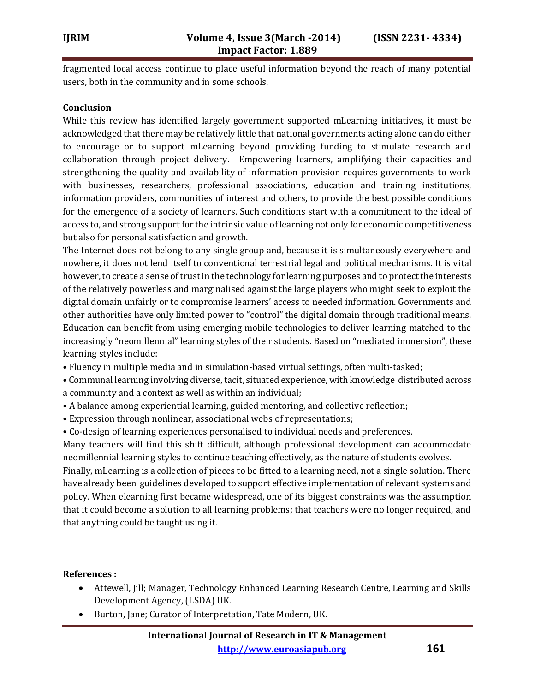fragmented local access continue to place useful information beyond the reach of many potential users, both in the community and in some schools.

#### **Conclusion**

While this review has identified largely government supported mLearning initiatives, it must be acknowledged that there may be relatively little that national governments acting alone can do either to encourage or to support mLearning beyond providing funding to stimulate research and collaboration through project delivery. Empowering learners, amplifying their capacities and strengthening the quality and availability of information provision requires governments to work with businesses, researchers, professional associations, education and training institutions, information providers, communities of interest and others, to provide the best possible conditions for the emergence of a society of learners. Such conditions start with a commitment to the ideal of access to, and strong support for the intrinsic value of learning not only for economic competitiveness but also for personal satisfaction and growth.

The Internet does not belong to any single group and, because it is simultaneously everywhere and nowhere, it does not lend itself to conventional terrestrial legal and political mechanisms. It is vital however, to create a sense of trust in the technology for learning purposes and to protect the interests of the relatively powerless and marginalised against the large players who might seek to exploit the digital domain unfairly or to compromise learners' access to needed information. Governments and other authorities have only limited power to "control" the digital domain through traditional means. Education can benefit from using emerging mobile technologies to deliver learning matched to the increasingly "neomillennial" learning styles of their students. Based on "mediated immersion", these learning styles include:

- Fluency in multiple media and in simulation-based virtual settings, often multi-tasked;
- Communal learning involving diverse, tacit, situated experience, with knowledge distributed across a community and a context as well as within an individual;
- A balance among experiential learning, guided mentoring, and collective reflection;
- Expression through nonlinear, associational webs of representations;
- Co-design of learning experiences personalised to individual needs and preferences.

Many teachers will find this shift difficult, although professional development can accommodate neomillennial learning styles to continue teaching effectively, as the nature of students evolves.

Finally, mLearning is a collection of pieces to be fitted to a learning need, not a single solution. There have already been guidelines developed to support effective implementation of relevant systems and policy. When elearning first became widespread, one of its biggest constraints was the assumption that it could become a solution to all learning problems; that teachers were no longer required, and that anything could be taught using it.

#### **References :**

- Attewell, Jill; Manager, Technology Enhanced Learning Research Centre, Learning and Skills Development Agency, (LSDA) UK.
- Burton, Jane; Curator of Interpretation, Tate Modern, UK.